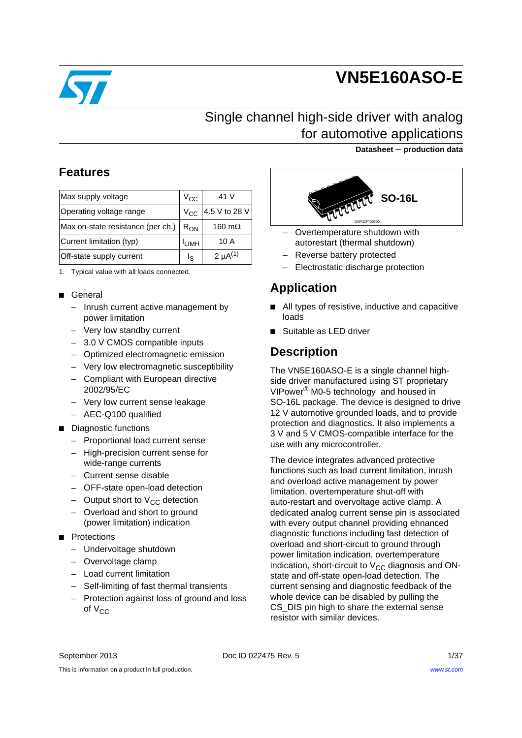

# **VN5E160ASO-E**

# Single channel high-side driver with analog for automotive applications

#### **Datasheet** − **production data**

## **Features**

| Max supply voltage                | $V_{\rm CC}$      | 41 V            |
|-----------------------------------|-------------------|-----------------|
| Operating voltage range           | $V_{CC}$          | 4.5 V to 28 V   |
| Max on-state resistance (per ch.) | $R_{ON}$          | 160 m $\Omega$  |
| Current limitation (typ)          | <sup>I</sup> LIMH | 10 A            |
| Off-state supply current          | ls                | 2 $\mu A^{(1)}$ |

1. Typical value with all loads connected.

#### ■ General

- Inrush current active management by power limitation
- Very low standby current
- 3.0 V CMOS compatible inputs
- Optimized electromagnetic emission
- Very low electromagnetic susceptibility
- Compliant with European directive 2002/95/EC
- Very low current sense leakage
- AEC-Q100 qualified
- Diagnostic functions
	- Proportional load current sense
	- High-precision current sense for wide-range currents
	- Current sense disable
	- OFF-state open-load detection
	- Output short to  $V_{CC}$  detection
	- Overload and short to ground (power limitation) indication
- Protections
	- Undervoltage shutdown
	- Overvoltage clamp
	- Load current limitation
	- Self-limiting of fast thermal transients
	- Protection against loss of ground and loss of  $V_{CC}$



- Overtemperature shutdown with autorestart (thermal shutdown)
- Reverse battery protected
- Electrostatic discharge protection

# **Application**

- All types of resistive, inductive and capacitive loads
- Suitable as LED driver

## **Description**

The VN5E160ASO-E is a single channel highside driver manufactured using ST proprietary VIPower® M0-5 technology and housed in SO-16L package. The device is designed to drive 12 V automotive grounded loads, and to provide protection and diagnostics. It also implements a 3 V and 5 V CMOS-compatible interface for the use with any microcontroller.

The device integrates advanced protective functions such as load current limitation, inrush and overload active management by power limitation, overtemperature shut-off with auto-restart and overvoltage active clamp. A dedicated analog current sense pin is associated with every output channel providing ehnanced diagnostic functions including fast detection of overload and short-circuit to ground through power limitation indication, overtemperature indication, short-circuit to  $V_{CC}$  diagnosis and ONstate and off-state open-load detection. The current sensing and diagnostic feedback of the whole device can be disabled by pulling the CS DIS pin high to share the external sense resistor with similar devices.

September 2013 Doc ID 022475 Rev. 5 1/37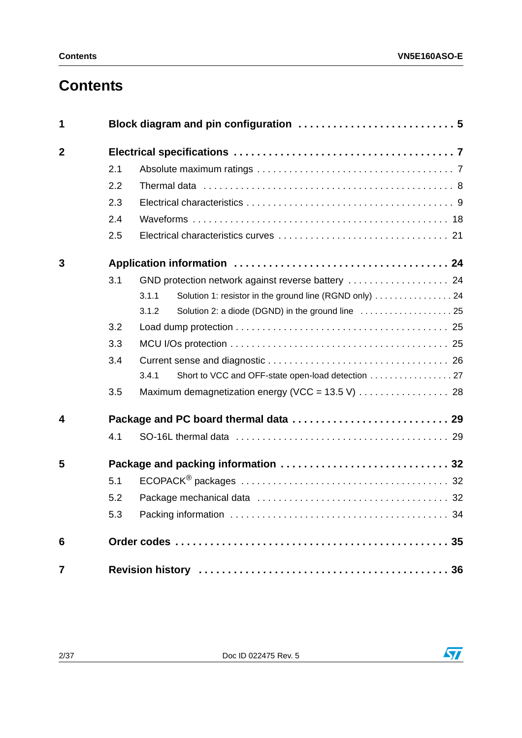# **Contents**

| 1              |     |                                                                  |  |
|----------------|-----|------------------------------------------------------------------|--|
| $\mathbf{2}$   |     |                                                                  |  |
|                | 2.1 |                                                                  |  |
|                | 2.2 |                                                                  |  |
|                | 2.3 |                                                                  |  |
|                | 2.4 |                                                                  |  |
|                | 2.5 |                                                                  |  |
| 3              |     |                                                                  |  |
|                | 3.1 |                                                                  |  |
|                |     | Solution 1: resistor in the ground line (RGND only)  24<br>3.1.1 |  |
|                |     | 3.1.2                                                            |  |
|                | 3.2 |                                                                  |  |
|                | 3.3 |                                                                  |  |
|                | 3.4 |                                                                  |  |
|                |     | Short to VCC and OFF-state open-load detection 27<br>3.4.1       |  |
|                | 3.5 |                                                                  |  |
| 4              |     |                                                                  |  |
|                | 4.1 |                                                                  |  |
| 5              |     |                                                                  |  |
|                | 5.1 |                                                                  |  |
|                | 5.2 |                                                                  |  |
|                | 5.3 |                                                                  |  |
| 6              |     |                                                                  |  |
| $\overline{7}$ |     |                                                                  |  |



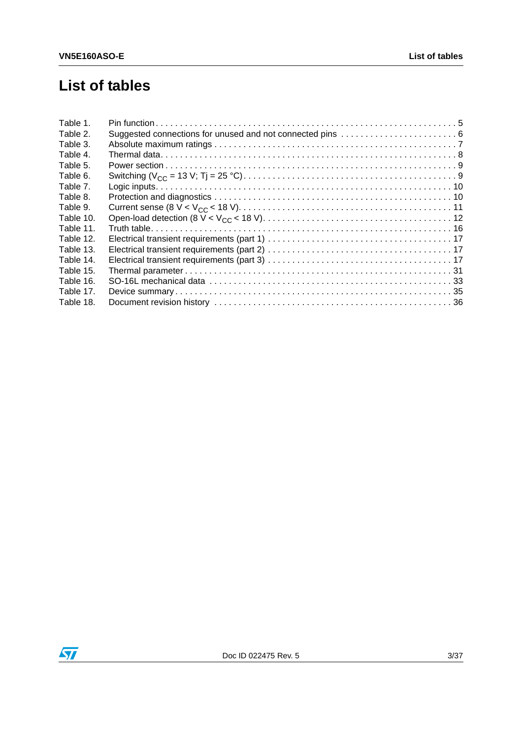# **List of tables**

| Table 1.  |  |
|-----------|--|
| Table 2.  |  |
| Table 3.  |  |
| Table 4.  |  |
| Table 5.  |  |
| Table 6.  |  |
| Table 7.  |  |
| Table 8.  |  |
| Table 9.  |  |
| Table 10. |  |
| Table 11. |  |
| Table 12. |  |
| Table 13. |  |
| Table 14. |  |
| Table 15. |  |
| Table 16. |  |
| Table 17. |  |
| Table 18. |  |

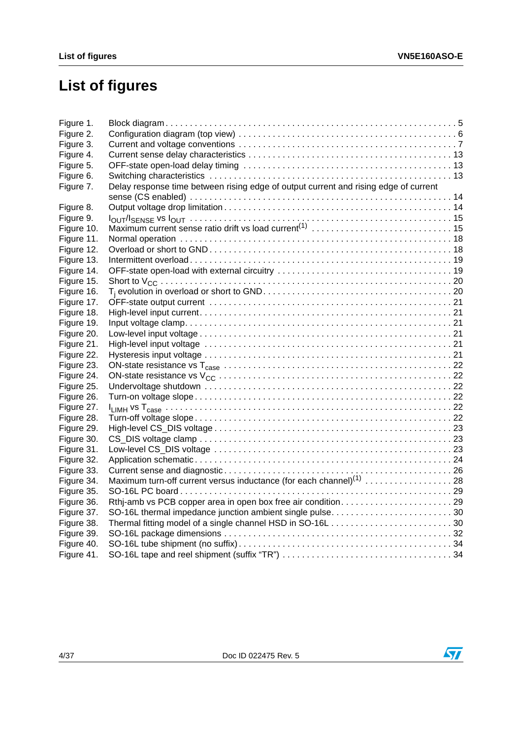# **List of figures**

| Figure 1.  |                                                                                      |  |
|------------|--------------------------------------------------------------------------------------|--|
| Figure 2.  |                                                                                      |  |
| Figure 3.  |                                                                                      |  |
| Figure 4.  |                                                                                      |  |
| Figure 5.  |                                                                                      |  |
| Figure 6.  |                                                                                      |  |
| Figure 7.  | Delay response time between rising edge of output current and rising edge of current |  |
|            |                                                                                      |  |
| Figure 8.  |                                                                                      |  |
| Figure 9.  |                                                                                      |  |
| Figure 10. |                                                                                      |  |
| Figure 11. |                                                                                      |  |
| Figure 12. |                                                                                      |  |
| Figure 13. |                                                                                      |  |
| Figure 14. |                                                                                      |  |
| Figure 15. |                                                                                      |  |
| Figure 16. |                                                                                      |  |
| Figure 17. |                                                                                      |  |
| Figure 18. |                                                                                      |  |
| Figure 19. |                                                                                      |  |
| Figure 20. |                                                                                      |  |
| Figure 21. |                                                                                      |  |
| Figure 22. |                                                                                      |  |
| Figure 23. |                                                                                      |  |
| Figure 24. |                                                                                      |  |
| Figure 25. |                                                                                      |  |
| Figure 26. |                                                                                      |  |
| Figure 27. |                                                                                      |  |
| Figure 28. |                                                                                      |  |
| Figure 29. |                                                                                      |  |
| Figure 30. |                                                                                      |  |
| Figure 31. |                                                                                      |  |
| Figure 32. |                                                                                      |  |
| Figure 33. |                                                                                      |  |
| Figure 34. | Maximum turn-off current versus inductance (for each channel) <sup>(1)</sup> 28      |  |
| Figure 35. |                                                                                      |  |
| Figure 36. |                                                                                      |  |
| Figure 37. | SO-16L thermal impedance junction ambient single pulse30                             |  |
| Figure 38. |                                                                                      |  |
| Figure 39. |                                                                                      |  |
| Figure 40. |                                                                                      |  |
| Figure 41. |                                                                                      |  |

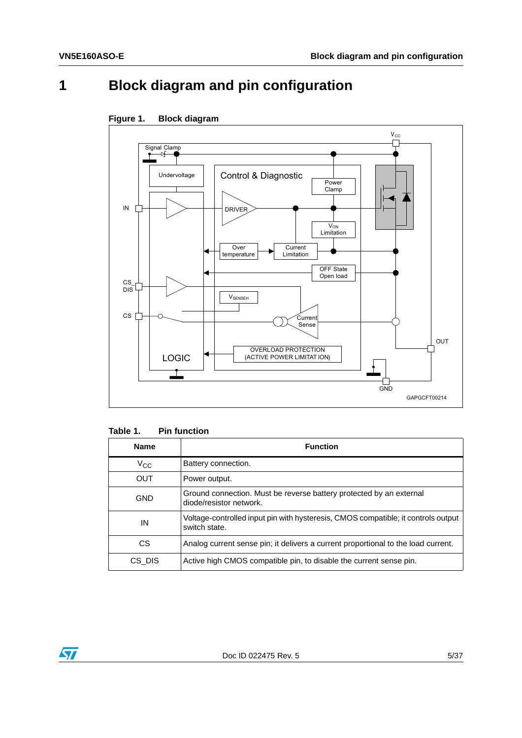# <span id="page-4-0"></span>**1 Block diagram and pin configuration**



<span id="page-4-2"></span>

<span id="page-4-1"></span>

| Table 1. | <b>Pin function</b> |
|----------|---------------------|
|----------|---------------------|

| <b>Name</b> | <b>Function</b>                                                                                    |
|-------------|----------------------------------------------------------------------------------------------------|
| $V_{CC}$    | Battery connection.                                                                                |
| <b>OUT</b>  | Power output.                                                                                      |
| GND         | Ground connection. Must be reverse battery protected by an external<br>diode/resistor network.     |
| IN          | Voltage-controlled input pin with hysteresis, CMOS compatible; it controls output<br>switch state. |
| CS.         | Analog current sense pin; it delivers a current proportional to the load current.                  |
| CS DIS      | Active high CMOS compatible pin, to disable the current sense pin.                                 |

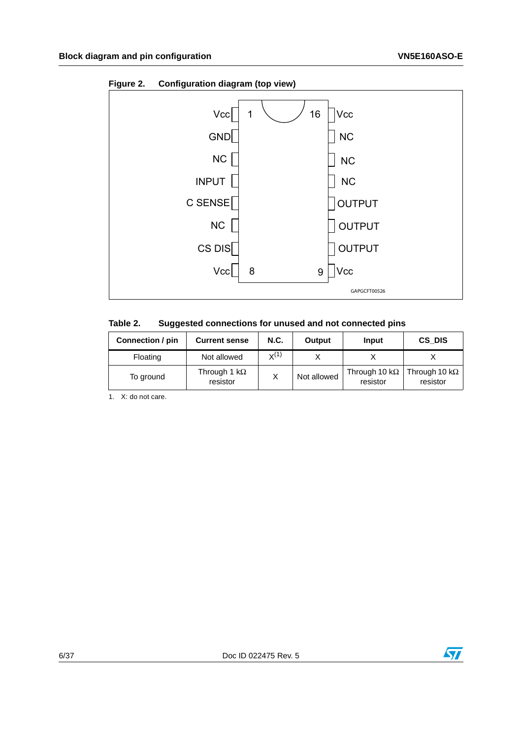

<span id="page-5-1"></span>**Figure 2. Configuration diagram (top view)**

<span id="page-5-0"></span>

| Table 2. | Suggested connections for unused and not connected pins |  |
|----------|---------------------------------------------------------|--|
|----------|---------------------------------------------------------|--|

| Connection / pin | <b>Current sense</b>             | <b>N.C.</b> | Output      | Input                             | CS DIS                            |
|------------------|----------------------------------|-------------|-------------|-----------------------------------|-----------------------------------|
| Floating         | Not allowed                      | $X^{(1)}$   |             |                                   |                                   |
| To ground        | Through 1 k $\Omega$<br>resistor |             | Not allowed | Through 10 k $\Omega$<br>resistor | Through 10 k $\Omega$<br>resistor |

1. X: do not care.

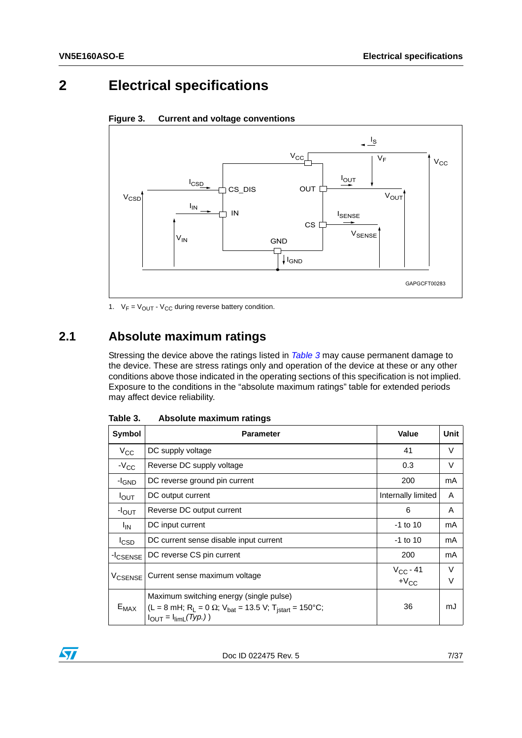# <span id="page-6-0"></span>**2 Electrical specifications**



<span id="page-6-3"></span>**Figure 3. Current and voltage conventions**

1.  $V_F = V_{OUT} - V_{CC}$  during reverse battery condition.

## <span id="page-6-1"></span>**2.1 Absolute maximum ratings**

Stressing the device above the ratings listed in *[Table 3](#page-6-2)* may cause permanent damage to the device. These are stress ratings only and operation of the device at these or any other conditions above those indicated in the operating sections of this specification is not implied. Exposure to the conditions in the "absolute maximum ratings" table for extended periods may affect device reliability.

| Symbol                    | <b>Parameter</b>                                                                                                                                                              | Value              | <b>Unit</b>      |
|---------------------------|-------------------------------------------------------------------------------------------------------------------------------------------------------------------------------|--------------------|------------------|
| $V_{\rm CC}$              | DC supply voltage                                                                                                                                                             | 41                 | V                |
| $-V_{CC}$                 | Reverse DC supply voltage                                                                                                                                                     | 0.3                | V                |
| -I <sub>GND</sub>         | DC reverse ground pin current                                                                                                                                                 | 200                | mA               |
| $I_{\text{OUT}}$          | DC output current                                                                                                                                                             | Internally limited | A                |
| $-I_{OUT}$                | Reverse DC output current                                                                                                                                                     | 6                  | A                |
| <sup>I</sup> IN           | DC input current                                                                                                                                                              | $-1$ to 10         | mA               |
| <sup>I</sup> CSD          | DC current sense disable input current                                                                                                                                        | $-1$ to 10         | mA               |
| -I <sub>CSENSE</sub>      | DC reverse CS pin current                                                                                                                                                     | 200                | mA               |
| <b>V<sub>CSENSE</sub></b> | Current sense maximum voltage                                                                                                                                                 |                    | $\vee$<br>$\vee$ |
| $E_{MAX}$                 | Maximum switching energy (single pulse)<br>(L = 8 mH; R <sub>L</sub> = 0 $\Omega$ ; V <sub>bat</sub> = 13.5 V; T <sub>istart</sub> = 150°C;<br>$I_{OUT} = I_{limit}(Type.)$ ) | 36                 | mJ               |

<span id="page-6-2"></span>Table 3. **Absolute maximum ratings** 

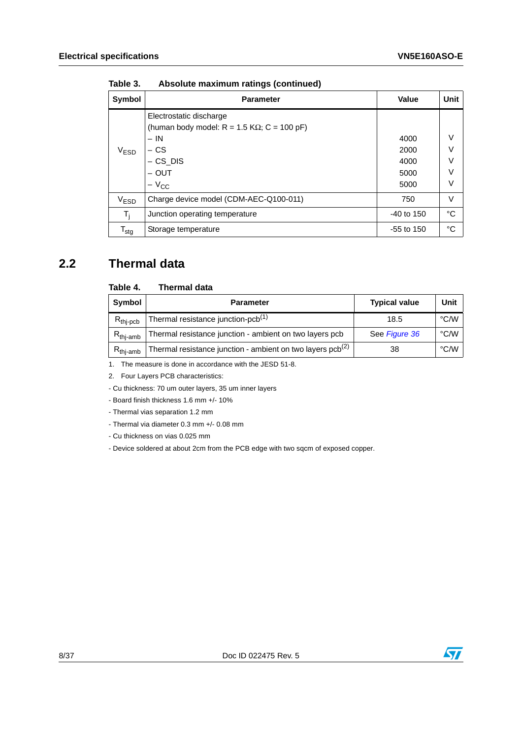| Symbol                      | <b>Parameter</b>                                                | Value        | <b>Unit</b> |
|-----------------------------|-----------------------------------------------------------------|--------------|-------------|
| $\rm V_{ESD}$               | Electrostatic discharge                                         |              |             |
|                             | (human body model: $R = 1.5$ K $\Omega$ ; C = 100 pF)<br>$- IN$ | 4000         | V           |
|                             | – CS                                                            | 2000         | V           |
|                             | $-$ CS_DIS                                                      | 4000         | V           |
|                             | $-$ OUT                                                         | 5000         | V           |
|                             | $-V_{\rm CC}$                                                   | 5000         | V           |
| V <sub>ESD</sub>            | Charge device model (CDM-AEC-Q100-011)                          | 750          | V           |
| T,                          | Junction operating temperature                                  | $-40$ to 150 | °C          |
| $\mathsf{T}_{\mathsf{stg}}$ | Storage temperature                                             | $-55$ to 150 | °C          |

**Table 3. Absolute maximum ratings (continued)**

## <span id="page-7-0"></span>**2.2 Thermal data**

#### <span id="page-7-1"></span>Table 4. **Thermal data**

| Symbol               | <b>Parameter</b>                                                | <b>Typical value</b> | Unit          |
|----------------------|-----------------------------------------------------------------|----------------------|---------------|
| $R_{\text{thi-pcb}}$ | Thermal resistance junction-pcb <sup>(1)</sup>                  | 18.5                 | $\degree$ C/W |
| $R_{\text{thi-amb}}$ | Thermal resistance junction - ambient on two layers pcb         | See Figure 36        | °C/W          |
| $R_{\text{thi-amb}}$ | Thermal resistance junction - ambient on two layers $pcb^{(2)}$ | 38                   | $\degree$ C/W |

1. The measure is done in accordance with the JESD 51-8.

2. Four Layers PCB characteristics:

- Cu thickness: 70 um outer layers, 35 um inner layers

- Board finish thickness 1.6 mm +/- 10%

- Thermal vias separation 1.2 mm

- Thermal via diameter 0.3 mm +/- 0.08 mm

- Cu thickness on vias 0.025 mm

- Device soldered at about 2cm from the PCB edge with two sqcm of exposed copper.

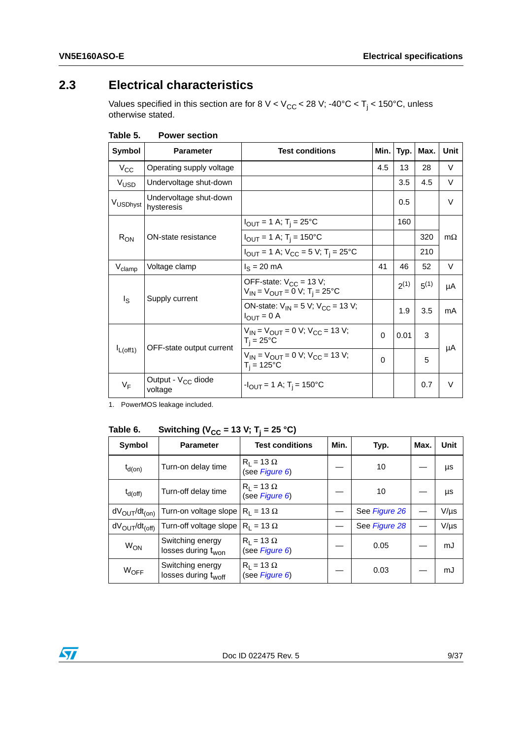## <span id="page-8-0"></span>**2.3 Electrical characteristics**

Values specified in this section are for 8 V < V<sub>CC</sub> < 28 V; -40°C < T<sub>j</sub> < 150°C, unless otherwise stated.

| <b>Symbol</b>      | <b>Parameter</b>                          | <b>Test conditions</b>                                                                              | Min.     | Typ.      | Max.      | Unit      |
|--------------------|-------------------------------------------|-----------------------------------------------------------------------------------------------------|----------|-----------|-----------|-----------|
| $V_{\rm CC}$       | Operating supply voltage                  |                                                                                                     | 4.5      | 13        | 28        | V         |
| V <sub>USD</sub>   | Undervoltage shut-down                    |                                                                                                     |          | 3.5       | 4.5       | $\vee$    |
| VUSDhyst           | Undervoltage shut-down<br>hysteresis      |                                                                                                     |          | 0.5       |           | $\vee$    |
|                    |                                           | $I_{OUT} = 1 A; T_i = 25°C$                                                                         |          | 160       |           |           |
| $R_{ON}$           | ON-state resistance                       | $I_{\text{OUT}} = 1 \text{ A}; T_{\text{i}} = 150^{\circ}\text{C}$                                  |          |           | 320       | $m\Omega$ |
|                    |                                           | $I_{\text{OUT}} = 1 \text{ A}$ ; $V_{\text{CC}} = 5 \text{ V}$ ; T <sub>i</sub> = 25 <sup>o</sup> C |          |           | 210       |           |
| $V_{\text{clamp}}$ | Voltage clamp                             | $I_S = 20$ mA                                                                                       | 41       | 46        | 52        | V         |
|                    |                                           | OFF-state: $V_{CC}$ = 13 V;<br>$V_{IN} = V_{OUT} = 0 V$ ; T <sub>i</sub> = 25°C                     |          | $2^{(1)}$ | $5^{(1)}$ | μA        |
| I <sub>S</sub>     | Supply current                            | ON-state: $V_{IN} = 5 V$ ; $V_{CC} = 13 V$ ;<br>$I_{\text{OUT}} = 0$ A                              |          | 1.9       | 3.5       | mA        |
| $I_{L(off1)}$      | OFF-state output current                  | $V_{IN} = V_{OUIT} = 0$ V; $V_{CC} = 13$ V;<br>$T_i = 25^{\circ}C$                                  | $\Omega$ | 0.01      | 3         |           |
|                    |                                           | $V_{IN} = V_{OUIT} = 0$ V; $V_{CC} = 13$ V;<br>$T_i = 125^{\circ}C$                                 | 0        |           | 5         | μA        |
| $V_F$              | Output - V <sub>CC</sub> diode<br>voltage | $-I_{\text{OUT}} = 1 \text{ A}; T_{\text{i}} = 150^{\circ}\text{C}$                                 |          |           | 0.7       | $\vee$    |

<span id="page-8-1"></span>Table 5. **Power section** 

1. PowerMOS leakage included.

#### <span id="page-8-2"></span>Table 6. **Switching (V<sub>CC</sub> = 13 V; T<sub>j</sub> = 25 °C)**

| Symbol                              | <b>Parameter</b>                                    | <b>Test conditions</b>              | Min. | Typ.          | Max. | Unit      |
|-------------------------------------|-----------------------------------------------------|-------------------------------------|------|---------------|------|-----------|
| $t_{d(on)}$                         | Turn-on delay time                                  | $R_1 = 13 \Omega$<br>(see Figure 6) |      | 10            |      | μs        |
| $t_{\sf d(off)}$                    | Turn-off delay time                                 | $R_1 = 13 \Omega$<br>(see Figure 6) |      | 10            |      | μs        |
| $dV_{\text{OUT}}/dt_{\text{(on)}}$  | Turn-on voltage slope $ R_1 = 13 \Omega$            |                                     |      | See Figure 26 |      | V/µs      |
| $dV_{\text{OUT}}/dt_{\text{(off)}}$ | Turn-off voltage slope $ R_1 = 13 \Omega$           |                                     |      | See Figure 28 |      | $V/\mu s$ |
| <b>W<sub>ON</sub></b>               | Switching energy<br>losses during t <sub>won</sub>  | $R_1 = 13 \Omega$<br>(see Figure 6) |      | 0.05          |      | mJ        |
| $W_{\text{OFF}}$                    | Switching energy<br>losses during t <sub>woff</sub> | $R_1 = 13 \Omega$<br>(see Figure 6) |      | 0.03          |      | mJ        |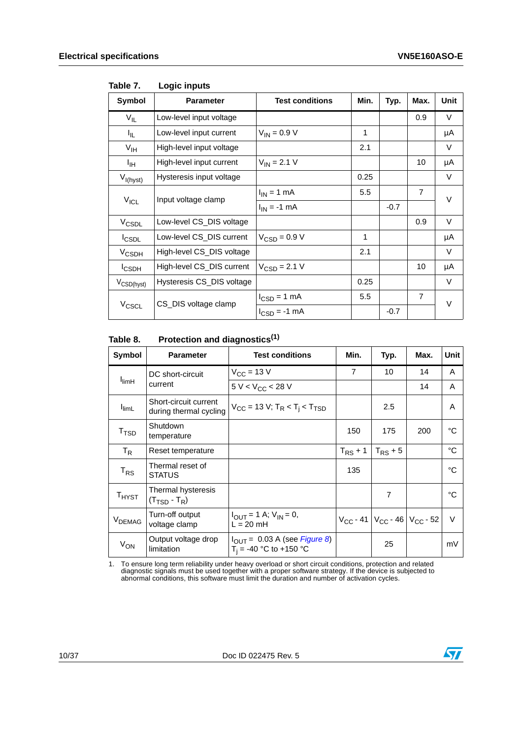| Symbol                 | <b>Parameter</b>          | <b>Test conditions</b>          | Min. | Typ.   | Max.           | Unit   |  |
|------------------------|---------------------------|---------------------------------|------|--------|----------------|--------|--|
| $V_{IL}$               | Low-level input voltage   |                                 |      |        | 0.9            | V      |  |
| I <sub>IL</sub>        | Low-level input current   | $V_{IN} = 0.9 V$                | 1    |        |                | μA     |  |
| V <sub>IH</sub>        | High-level input voltage  |                                 | 2.1  |        |                | $\vee$ |  |
| Iн                     | High-level input current  | $V_{IN}$ = 2.1 V                |      |        | 10             | μA     |  |
| $V_{I(hyst)}$          | Hysteresis input voltage  |                                 | 0.25 |        |                | V      |  |
|                        | Input voltage clamp       | $I_{IN}$ = 1 mA                 | 5.5  |        | $\overline{7}$ | $\vee$ |  |
| $V_{ICL}$              |                           | $I_{IN}$ = -1 mA                |      | $-0.7$ |                |        |  |
| V <sub>CSDL</sub>      | Low-level CS_DIS voltage  |                                 |      |        | 0.9            | V      |  |
| <b>I</b> CSDL          | Low-level CS_DIS current  | $V_{CSD} = 0.9 V$               | 1    |        |                | μA     |  |
| $V_{\text{CSDH}}$      | High-level CS_DIS voltage |                                 | 2.1  |        |                | V      |  |
| <b>I</b> CSDH          | High-level CS_DIS current | $V_{CSD} = 2.1 V$               |      |        | 10             | μA     |  |
| $V_{\text{CSD(hyst)}}$ | Hysteresis CS_DIS voltage |                                 | 0.25 |        |                | $\vee$ |  |
|                        |                           | $I_{\text{CSD}} = 1 \text{ mA}$ | 5.5  |        | $\overline{7}$ |        |  |
| V <sub>CSCL</sub>      | CS_DIS voltage clamp      | $I_{CSD} = -1$ mA               |      | $-0.7$ |                | V      |  |

#### <span id="page-9-0"></span>Table 7. **Logic inputs**

#### <span id="page-9-1"></span>Table 8. **Protection and diagnostics(1)**

| Symbol                                                   | <b>Parameter</b>                                        | <b>Test conditions</b>                                                | Min.           | Typ.                                                      | Max. | <b>Unit</b> |
|----------------------------------------------------------|---------------------------------------------------------|-----------------------------------------------------------------------|----------------|-----------------------------------------------------------|------|-------------|
|                                                          | DC short-circuit                                        | $V_{CC}$ = 13 V                                                       | $\overline{7}$ | 10                                                        | 14   | A           |
| <b>I</b> limH                                            | current                                                 | $5 V < V_{CC} < 28 V$                                                 |                |                                                           | 14   | A           |
| <b>I</b> limL                                            | Short-circuit current<br>during thermal cycling         | $V_{CC}$ = 13 V; T <sub>R</sub> < T <sub>i</sub> < T <sub>TSD</sub>   |                | 2.5                                                       |      | A           |
| $\mathsf{T}_{\mathsf{TSD}}$                              | Shutdown<br>temperature                                 |                                                                       | 150            | 175                                                       | 200  | °C          |
| $T_R$                                                    | Reset temperature                                       |                                                                       | $T_{RS}$ + 1   | $T_{RS}$ + 5                                              |      | $^{\circ}C$ |
| $T_{RS}$                                                 | Thermal reset of<br><b>STATUS</b>                       |                                                                       | 135            |                                                           |      | °C          |
| $\mathsf{T}_{\mathsf{H} \mathsf{Y}\mathsf{S}\mathsf{T}}$ | Thermal hysteresis<br>$(T_{\text{TSD}} - T_{\text{R}})$ |                                                                       |                | $\overline{7}$                                            |      | °C          |
| V <sub>DEMAG</sub>                                       | Turn-off output<br>voltage clamp                        | $I_{\text{OUT}} = 1$ A; $V_{\text{IN}} = 0$ ,<br>$L = 20$ mH          |                | $V_{\rm CC}$ - 41   $V_{\rm CC}$ - 46   $V_{\rm CC}$ - 52 |      | $\vee$      |
| $V_{ON}$                                                 | Output voltage drop<br>limitation                       | $I_{\text{OUT}}$ = 0.03 A (see Figure 8)<br>$T_i = -40$ °C to +150 °C |                | 25                                                        |      | mV          |

1. To ensure long term reliability under heavy overload or short circuit conditions, protection and related diagnostic signals must be used together with a proper software strategy. If the device is subjected to abnormal conditions, this software must limit the duration and number of activation cycles.

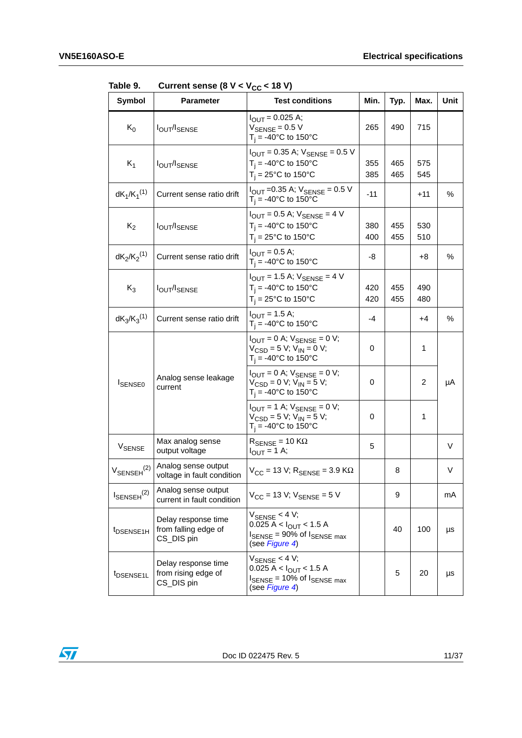| <b>Symbol</b>             | <b>Parameter</b>                                          | <b>Test conditions</b>                                                                                                                   | Min.       | Typ.       | Max.       | Unit |
|---------------------------|-----------------------------------------------------------|------------------------------------------------------------------------------------------------------------------------------------------|------------|------------|------------|------|
| $K_0$                     | <b>IOUT/ISENSE</b>                                        | $I_{\text{OUT}} = 0.025 \text{ A};$<br>$V_{\rm SENSE}$ = 0.5 V<br>$T_i = -40$ °C to 150°C                                                | 265        | 490        | 715        |      |
| $K_1$                     | <b>IOUT/ISENSE</b>                                        | $I_{\text{OUT}} = 0.35 \text{ A}$ ; $V_{\text{SENSE}} = 0.5 \text{ V}$<br>$T_i = -40^{\circ}C$ to 150°C<br>$T_i = 25^{\circ}$ C to 150°C | 355<br>385 | 465<br>465 | 575<br>545 |      |
| $dK_1/K_1^{(1)}$          | Current sense ratio drift                                 | $I_{\text{OUT}}$ =0.35 A; $V_{\text{SENSE}}$ = 0.5 V<br>$T_i = -40$ °C to 150°C                                                          | -11        |            | +11        | %    |
| $K_2$                     | <b>IOUT/ISENSE</b>                                        | $I_{\text{OUT}} = 0.5$ A; $V_{\text{SENSE}} = 4$ V<br>$T_i = -40$ °C to 150°C<br>$T_i = 25^{\circ}$ C to 150°C                           | 380<br>400 | 455<br>455 | 530<br>510 |      |
| $dK_2/K_2^{(1)}$          | Current sense ratio drift                                 | $I_{\text{OUT}} = 0.5 \text{ A};$<br>$T_i = -40$ °C to 150°C                                                                             | -8         |            | +8         | %    |
| $K_3$                     | <b>IOUT/ISENSE</b>                                        | $I_{\text{OUT}} = 1.5 \text{ A}$ ; $V_{\text{SENSE}} = 4 \text{ V}$<br>$T_i = -40$ °C to 150°C<br>$T_i = 25^{\circ}C$ to 150°C           | 420<br>420 | 455<br>455 | 490<br>480 |      |
| $dK_3/K_3^{(1)}$          | Current sense ratio drift                                 | $I_{\text{OUT}} = 1.5 \text{ A};$<br>$T_i = -40$ °C to 150°C                                                                             | -4         |            | +4         | %    |
|                           |                                                           | $I_{\text{OUT}} = 0$ A; $V_{\text{SENSE}} = 0$ V;<br>$V_{CSD} = 5 V$ ; $V_{IN} = 0 V$ ;<br>$T_i = -40^{\circ}C$ to 150°C                 | 0          |            | 1          |      |
| <b>ISENSE0</b>            | Analog sense leakage<br>current                           | $I_{\text{OUT}} = 0$ A; $V_{\text{SENSE}} = 0$ V;<br>$V_{\text{CSD}} = 0$ V; V <sub>IN</sub> = 5 V;<br>$T_i = -40$ °C to 150°C           | 0          |            | 2          | μA   |
|                           |                                                           | $I_{\text{OUT}} = 1$ A; $V_{\text{SENSE}} = 0$ V;<br>$V_{CSD} = 5 V; V_{IN} = 5 V;$<br>$T_i = -40$ °C to 150°C                           | 0          |            | 1          |      |
| V <sub>SENSE</sub>        | Max analog sense<br>output voltage                        | $R_{\text{SFNSF}} = 10 \text{ K}\Omega$<br>$I_{\text{OUT}} = 1 \text{ A};$                                                               | 5          |            |            | V    |
| $V_{\text{SENSEH}}^{(2)}$ | Analog sense output<br>voltage in fault condition         | $V_{CC}$ = 13 V; $R_{SENSE}$ = 3.9 K $\Omega$                                                                                            |            | 8          |            | V    |
| $I_{\text{SENSEH}}^{(2)}$ | Analog sense output<br>current in fault condition         | $V_{CC}$ = 13 V; $V_{SENSE}$ = 5 V                                                                                                       |            | 9          |            | mA   |
| t <sub>DSENSE1H</sub>     | Delay response time<br>from falling edge of<br>CS_DIS pin | $V_{\text{SENSE}}$ < 4 V;<br>$0.025 A < I_{OUT} < 1.5 A$<br>$I_{\text{SENSE}}$ = 90% of $I_{\text{SENSE max}}$<br>(see Figure 4)         |            | 40         | 100        | μs   |
| t <sub>DSENSE1L</sub>     | Delay response time<br>from rising edge of<br>CS_DIS pin  | $V_{\text{SENSE}}$ < 4 V;<br>0.025 A < $I_{OUT}$ < 1.5 A<br>$I_{\text{SENSE}}$ = 10% of $I_{\text{SENSE max}}$<br>(see Figure 4)         |            | 5          | 20         | μs   |

<span id="page-10-0"></span>Table 9. Current sense  $(8 \text{ V} < V_{CC} < 18 \text{ V})$ 

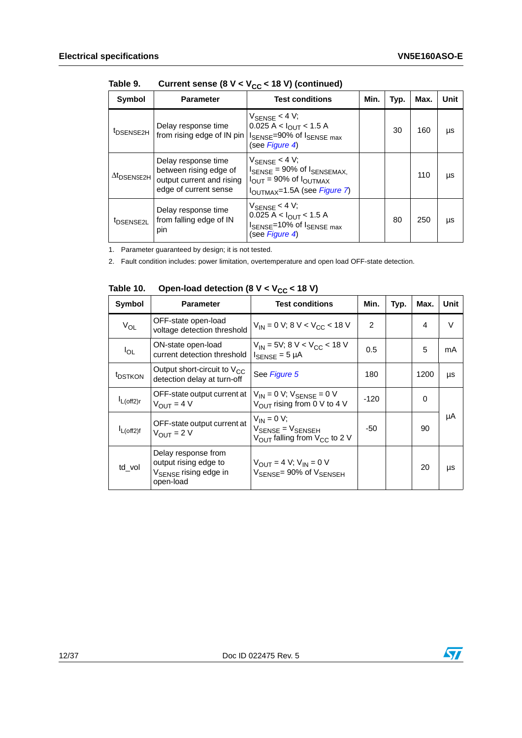| Symbol                         | <b>Parameter</b>                                                                                    | <b>Test conditions</b>                                                                                                                                                      | Min. | Typ. | Max. | Unit |
|--------------------------------|-----------------------------------------------------------------------------------------------------|-----------------------------------------------------------------------------------------------------------------------------------------------------------------------------|------|------|------|------|
| t <sub>DSENSE2H</sub>          | Delay response time<br>from rising edge of IN pin                                                   | $V_{\text{SENSE}}$ < 4 V;<br>$0.025 A < I_{OUT} < 1.5 A$<br>ISENSE=90% of ISENSE max<br>(see Figure 4)                                                                      |      | 30   | 160  | μs   |
| $\Delta t$ <sub>DSENSE2H</sub> | Delay response time<br>between rising edge of<br>output current and rising<br>edge of current sense | $V_{\text{SENSE}}$ < 4 V;<br>$I_{\text{SENSE}}$ = 90% of $I_{\text{SENSEMAX}}$<br>$I_{\text{OUT}}$ = 90% of $I_{\text{OUTMAX}}$<br>I <sub>OUTMAX</sub> =1.5A (see Figure 7) |      |      | 110  | μs   |
| <sup>t</sup> DSENSE2L          | Delay response time<br>from falling edge of IN<br>pin                                               | $V_{\text{SENSE}}$ < 4 V;<br>$0.025 A < I_{\text{OLIT}} < 1.5 A$<br>I <sub>SENSE</sub> =10% of I <sub>SENSE max</sub><br>(see Figure 4)                                     |      | 80   | 250  | μs   |

Table 9. Current sense  $(8 V < V_{CC} < 18 V)$  (continued)

1. Parameter guaranteed by design; it is not tested.

2. Fault condition includes: power limitation, overtemperature and open load OFF-state detection.

| Symbol              | <b>Parameter</b>                                                                               | <b>Test conditions</b>                                                                                            | Min.           | Typ. | Max. | Unit |
|---------------------|------------------------------------------------------------------------------------------------|-------------------------------------------------------------------------------------------------------------------|----------------|------|------|------|
| $V_{OL}$            | OFF-state open-load<br>voltage detection threshold                                             | $V_{IN}$ = 0 V; 8 V < V <sub>CC</sub> < 18 V                                                                      | $\overline{2}$ |      | 4    | V    |
| $I_{OL}$            | ON-state open-load<br>current detection threshold                                              | $V_{IN}$ = 5V; 8 V < V <sub>CC</sub> < 18 V<br>$I_{\text{SENSE}} = 5 \mu A$                                       | 0.5            |      | 5    | mA   |
| <sup>t</sup> DSTKON | Output short-circuit to $V_{CC}$<br>detection delay at turn-off                                | See Figure 5                                                                                                      | 180            |      | 1200 | μs   |
| $I_{L(off2)r}$      | OFF-state output current at<br>$V_{OUIT} = 4 V$                                                | $V_{IN} = 0 V$ ; $V_{SENSE} = 0 V$<br>$V_{\text{OUT}}$ rising from 0 V to 4 V                                     | $-120$         |      | 0    |      |
| $I_{L(off2)f}$      | OFF-state output current at<br>$V_{OIII}$ = 2 V                                                | $V_{IN} = 0 V;$<br>$V_{\text{SENSE}} = V_{\text{SENSEH}}$<br>$V_{\text{OUT}}$ falling from $V_{\text{CC}}$ to 2 V | -50            |      | 90   | μA   |
| td_vol              | Delay response from<br>output rising edge to<br>V <sub>SENSE</sub> rising edge in<br>open-load | $V_{OIII} = 4 V; V_{IN} = 0 V$<br>$V_{\text{SFNSE}} = 90\% \text{ of } V_{\text{SENSEH}}$                         |                |      | 20   | μs   |

<span id="page-11-0"></span>Table 10. Open-load detection (8  $V < V_{CC}$  < 18 V)



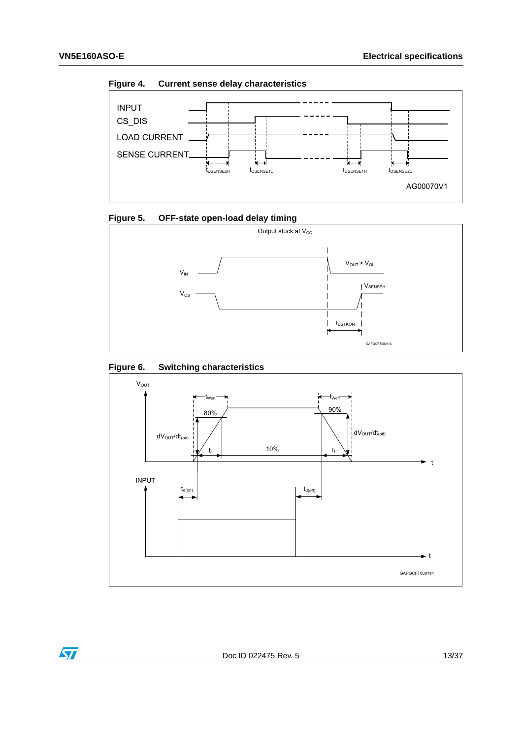$\bm \Omega$ 

<span id="page-12-0"></span>**Figure 4. Current sense delay characteristics**



<span id="page-12-1"></span>



#### <span id="page-12-2"></span>**Figure 6. Switching characteristics**

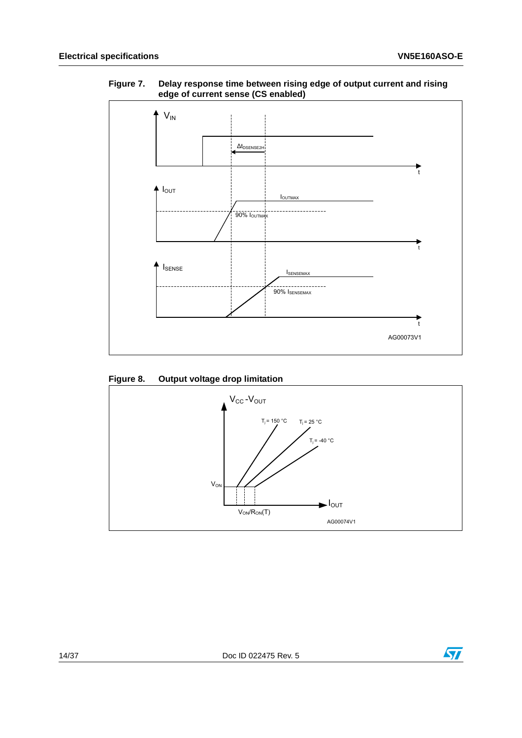

#### <span id="page-13-0"></span>**Figure 7. Delay response time between rising edge of output current and rising edge of current sense (CS enabled)**

#### <span id="page-13-1"></span>**Figure 8. Output voltage drop limitation**



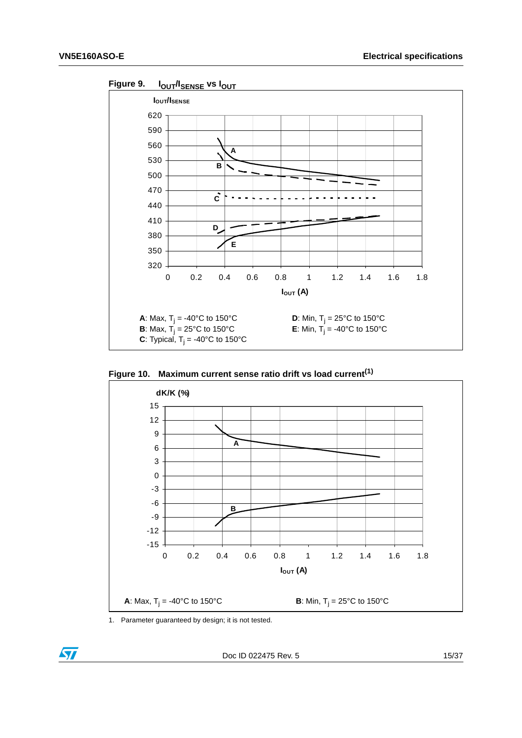<span id="page-14-0"></span>

<span id="page-14-1"></span>**Figure 10. Maximum current sense ratio drift vs load current(1)**



1. Parameter guaranteed by design; it is not tested.

ST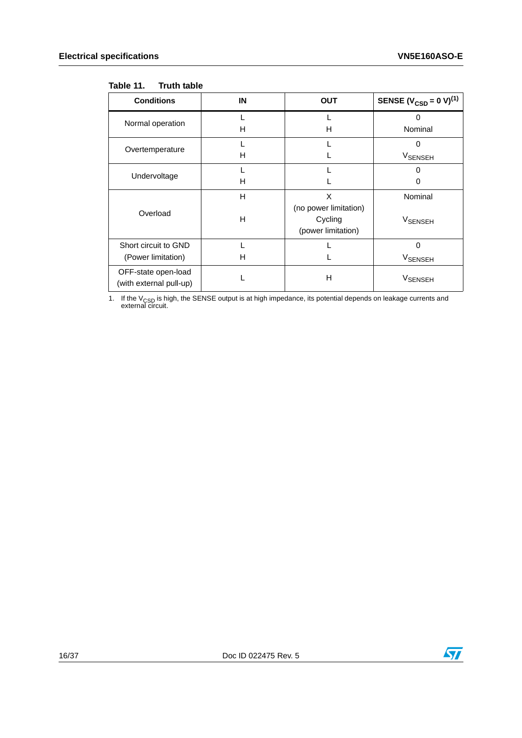#### <span id="page-15-0"></span>Table 11. **Truth table**

| <b>Conditions</b>                              | IN | <b>OUT</b>            | SENSE ( $V_{\text{CSD}} = 0 \text{ V}$ ) <sup>(1)</sup> |
|------------------------------------------------|----|-----------------------|---------------------------------------------------------|
| Normal operation                               |    |                       | 0                                                       |
|                                                | н  | н                     | Nominal                                                 |
| Overtemperature                                |    |                       | n                                                       |
|                                                | н  |                       | V <sub>SENSEH</sub>                                     |
| Undervoltage                                   |    |                       |                                                         |
|                                                | н  |                       | O                                                       |
|                                                | н  | X                     | Nominal                                                 |
| Overload                                       |    | (no power limitation) |                                                         |
|                                                | н  | Cycling               | <b>V<sub>SENSEH</sub></b>                               |
|                                                |    | (power limitation)    |                                                         |
| Short circuit to GND                           |    |                       | 0                                                       |
| (Power limitation)                             | н  |                       | <b>V<sub>SENSEH</sub></b>                               |
| OFF-state open-load<br>(with external pull-up) |    | Н                     | <b>VSENSEH</b>                                          |

1. If the V<sub>CSD</sub> is high, the SENSE output is at high impedance, its potential depends on leakage currents and external circuit.

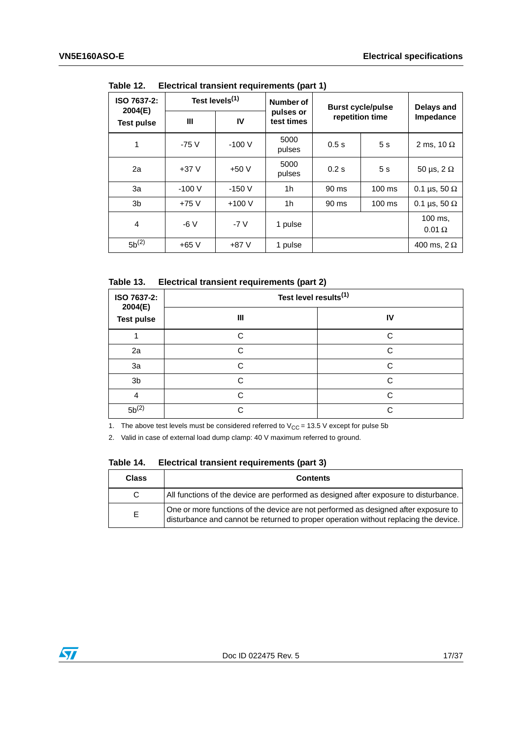| ISO 7637-2:<br>2004(E) | Test levels <sup>(1)</sup> |         | Number of               | <b>Burst cycle/pulse</b> | Delays and       |                          |  |
|------------------------|----------------------------|---------|-------------------------|--------------------------|------------------|--------------------------|--|
| <b>Test pulse</b>      | Ш                          | IV      | pulses or<br>test times |                          | repetition time  |                          |  |
| 1                      | $-75V$                     | $-100V$ | 5000<br>pulses          | 0.5s                     | 5 <sub>s</sub>   | 2 ms, 10 $\Omega$        |  |
| 2a                     | $+37V$                     | $+50V$  | 5000<br>pulses          | 0.2s                     | 5s               | 50 µs, $2 \Omega$        |  |
| 3a                     | $-100V$                    | $-150V$ | 1h                      | 90 ms                    | $100 \text{ ms}$ | 0.1 µs, 50 $\Omega$      |  |
| 3 <sub>b</sub>         | $+75V$                     | $+100V$ | 1h                      | 90 ms                    | $100 \text{ ms}$ | 0.1 µs, 50 $\Omega$      |  |
| $\overline{4}$         | $-6V$                      | $-7V$   | 1 pulse                 |                          |                  | 100 ms.<br>$0.01 \Omega$ |  |
| $5b^{(2)}$             | $+65V$                     | $+87V$  | 1 pulse                 |                          |                  | 400 ms, $2 \Omega$       |  |

<span id="page-16-0"></span>Table 12. **Electrical transient requirements (part 1)** 

<span id="page-16-1"></span>Table 13. **Electrical transient requirements (part 2)** 

| ISO 7637-2:<br>2004(E) | Test level results <sup>(1)</sup> |        |  |  |  |
|------------------------|-----------------------------------|--------|--|--|--|
| <b>Test pulse</b>      | Ш                                 | IV     |  |  |  |
|                        | C                                 | C      |  |  |  |
| 2a                     |                                   | $\cap$ |  |  |  |
| 3a                     | r.                                | C      |  |  |  |
| 3b                     | C.                                | $\cap$ |  |  |  |
| 4                      | ⌒                                 | $\cap$ |  |  |  |
| $5b^{(2)}$             |                                   | ⌒      |  |  |  |

1. The above test levels must be considered referred to  $V_{CC} = 13.5$  V except for pulse 5b

2. Valid in case of external load dump clamp: 40 V maximum referred to ground.

<span id="page-16-2"></span>

| Table 14. |  |  | Electrical transient requirements (part 3) |  |  |
|-----------|--|--|--------------------------------------------|--|--|
|-----------|--|--|--------------------------------------------|--|--|

| <b>Class</b> | <b>Contents</b>                                                                                                                                                             |
|--------------|-----------------------------------------------------------------------------------------------------------------------------------------------------------------------------|
| C.           | All functions of the device are performed as designed after exposure to disturbance.                                                                                        |
| E.           | One or more functions of the device are not performed as designed after exposure to<br>disturbance and cannot be returned to proper operation without replacing the device. |

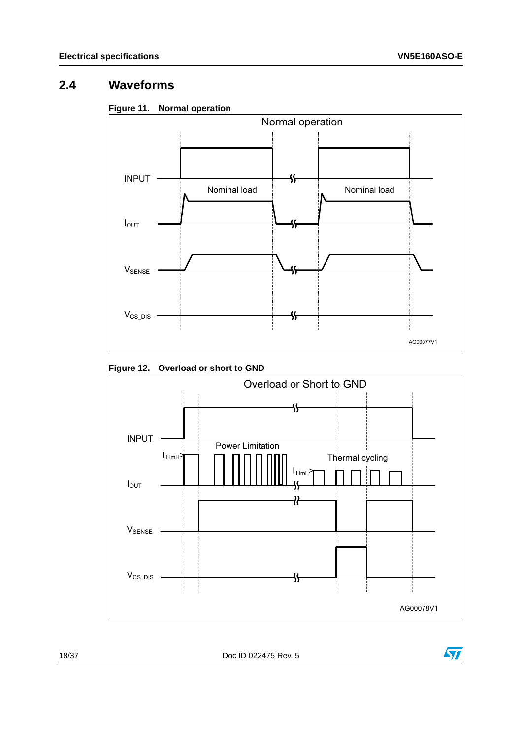## <span id="page-17-0"></span>**2.4 Waveforms**

<span id="page-17-1"></span>



<span id="page-17-2"></span>



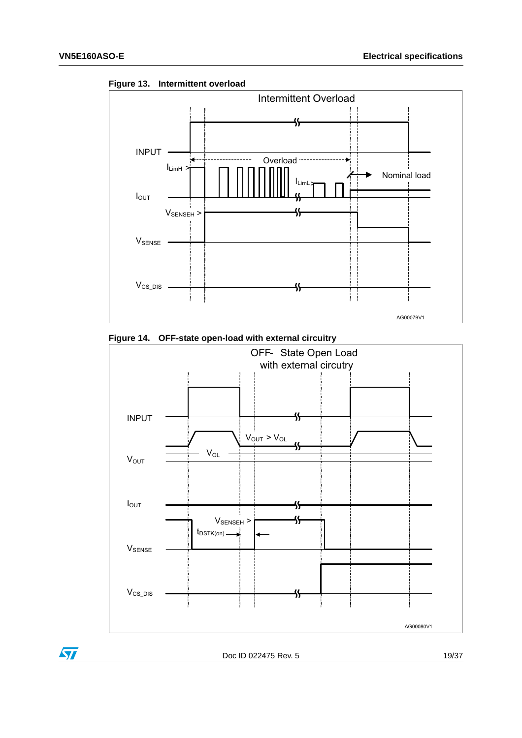$\bm{\varPi}$ 



<span id="page-18-0"></span>

<span id="page-18-1"></span>

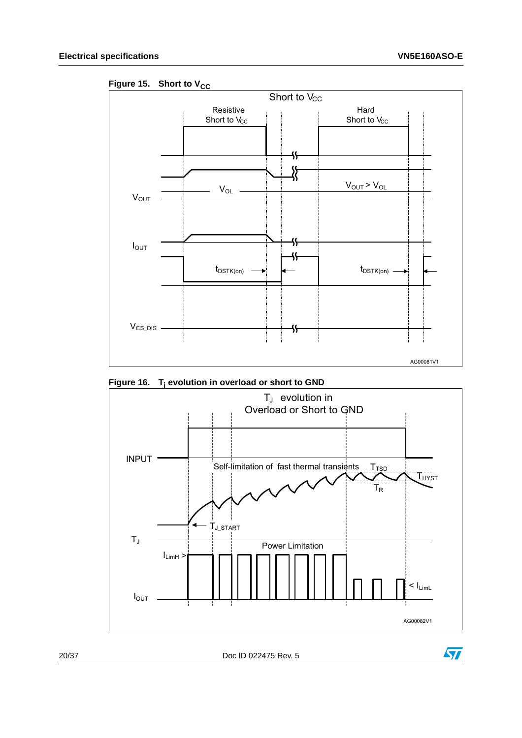

<span id="page-19-0"></span>Figure 15. Short to V<sub>CC</sub>

<span id="page-19-1"></span>**Figure 16. Tj evolution in overload or short to GND**



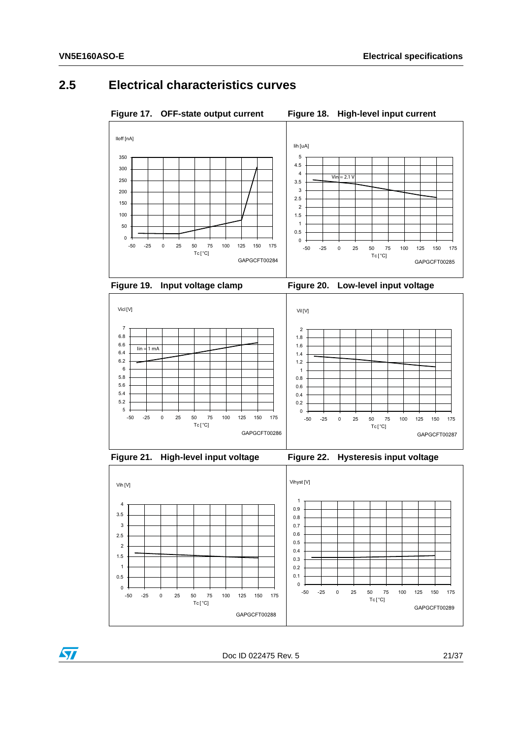### <span id="page-20-0"></span>**2.5 Electrical characteristics curves**

<span id="page-20-1"></span>Figure 17. OFF-state output current Figure 18. High-level input current

<span id="page-20-2"></span>

<span id="page-20-4"></span>

<span id="page-20-3"></span>



<span id="page-20-5"></span>

<span id="page-20-6"></span>





Doc ID 022475 Rev. 5 21/37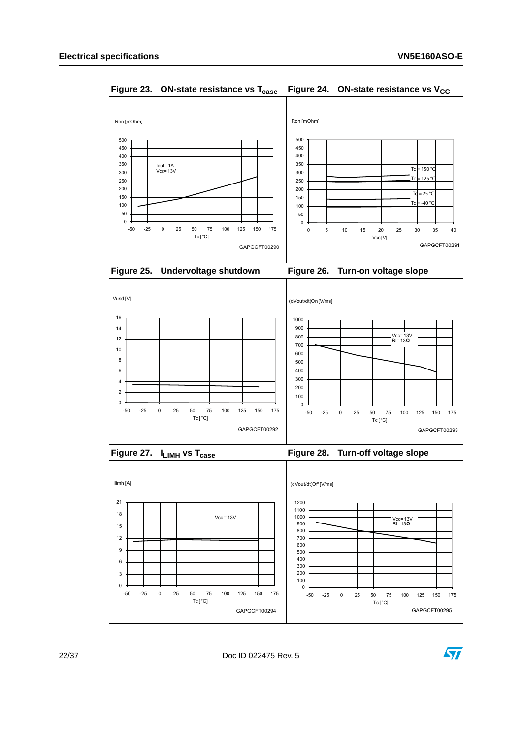

<span id="page-21-1"></span><span id="page-21-0"></span>**Figure 23. ON-state resistance vs T<sub>case</sub> Figure 24. ON-state resistance vs V<sub>CC</sub>** 

<span id="page-21-2"></span>

<span id="page-21-3"></span>



<span id="page-21-5"></span>

<span id="page-21-4"></span>



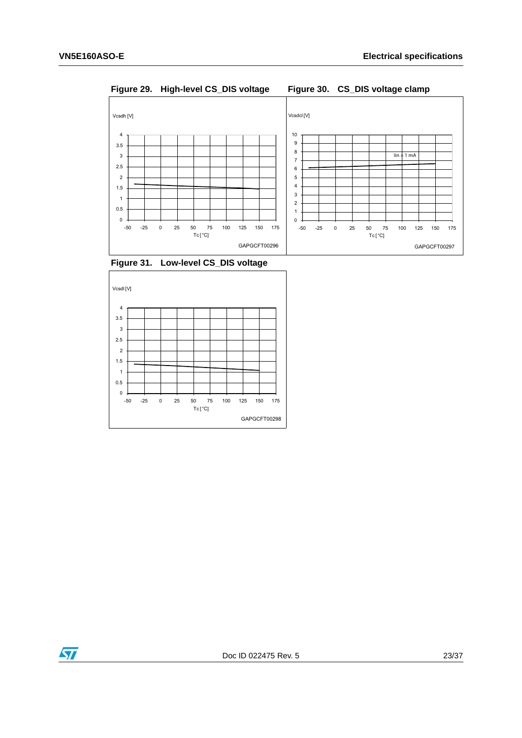<span id="page-22-0"></span>**Figure 29. High-level CS\_DIS voltage Figure 30. CS\_DIS voltage clamp**

<span id="page-22-1"></span>

<span id="page-22-2"></span>**Figure 31. Low-level CS\_DIS voltage**



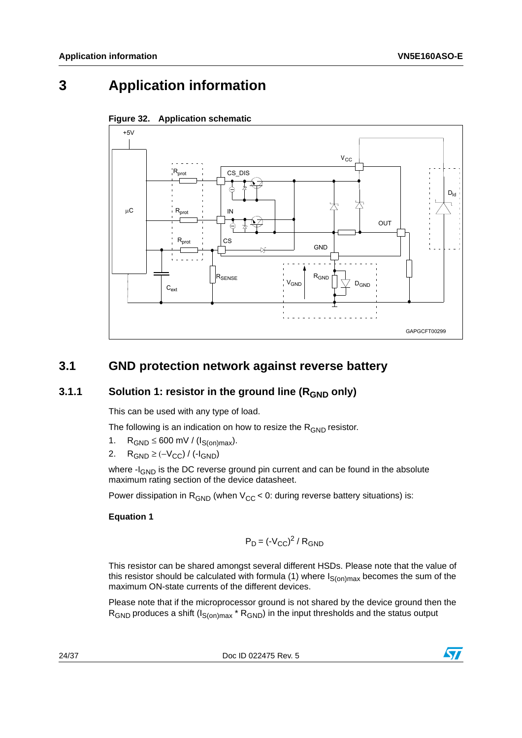# <span id="page-23-0"></span>**3 Application information**



<span id="page-23-3"></span>

### <span id="page-23-1"></span>**3.1 GND protection network against reverse battery**

#### <span id="page-23-2"></span>**3.1.1** Solution 1: resistor in the ground line (R<sub>GND</sub> only)

This can be used with any type of load.

The following is an indication on how to resize the  $R_{GND}$  resistor.

- 1.  $R_{GND} \leq 600$  mV / ( $I_{S(on)max}$ ).
- 2. R<sub>GND</sub> ≥ (- $V_{CC}$ ) / (- $I_{GND}$ )

where -I<sub>GND</sub> is the DC reverse ground pin current and can be found in the absolute maximum rating section of the device datasheet.

Power dissipation in  $R_{GND}$  (when  $V_{CC}$  < 0: during reverse battery situations) is:

#### **Equation 1**

$$
P_D = (-V_{CC})^2 / R_{GND}
$$

This resistor can be shared amongst several different HSDs. Please note that the value of this resistor should be calculated with formula (1) where  $I_{S(on)max}$  becomes the sum of the maximum ON-state currents of the different devices.

Please note that if the microprocessor ground is not shared by the device ground then the  $R_{GND}$  produces a shift ( $I_{S(on)max}$ <sup>\*</sup>  $R_{GND}$ ) in the input thresholds and the status output

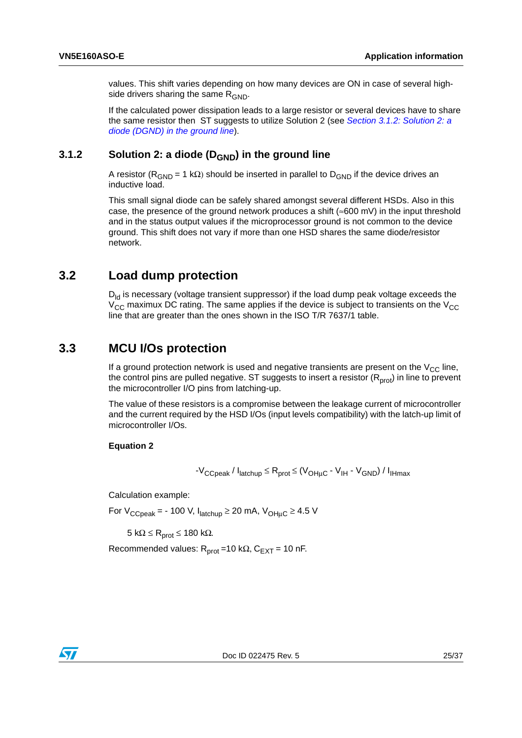values. This shift varies depending on how many devices are ON in case of several highside drivers sharing the same  $R_{GND}$ .

If the calculated power dissipation leads to a large resistor or several devices have to share the same resistor then ST suggests to utilize Solution 2 (see *[Section 3.1.2: Solution 2: a](#page-24-0)  [diode \(DGND\) in the ground line](#page-24-0)*).

#### <span id="page-24-0"></span>**3.1.2** Solution 2: a diode (D<sub>GND</sub>) in the ground line

A resistor ( $R_{GND}$  = 1 kΩ) should be inserted in parallel to  $D_{GND}$  if the device drives an inductive load.

This small signal diode can be safely shared amongst several different HSDs. Also in this case, the presence of the ground network produces a shift ( $\approx 600$  mV) in the input threshold and in the status output values if the microprocessor ground is not common to the device ground. This shift does not vary if more than one HSD shares the same diode/resistor network.

#### <span id="page-24-1"></span>**3.2 Load dump protection**

 $D_{\text{ld}}$  is necessary (voltage transient suppressor) if the load dump peak voltage exceeds the  $V_{CC}$  maximux DC rating. The same applies if the device is subject to transients on the  $V_{CC}$ line that are greater than the ones shown in the ISO T/R 7637/1 table.

#### <span id="page-24-2"></span>**3.3 MCU I/Os protection**

If a ground protection network is used and negative transients are present on the  $V_{CC}$  line, the control pins are pulled negative. ST suggests to insert a resistor  $(R_{prot})$  in line to prevent the microcontroller I/O pins from latching-up.

The value of these resistors is a compromise between the leakage current of microcontroller and the current required by the HSD I/Os (input levels compatibility) with the latch-up limit of microcontroller I/Os.

#### **Equation 2**

$$
-V_{CCpeak} / I_{latchup} \leq R_{prot} \leq (V_{OH\mu C} - V_{IH} - V_{GND}) / I_{IHmax}
$$

Calculation example:

For  $V_{CCpeak}$  = - 100 V,  $I_{\text{latchub}} \ge 20$  mA,  $V_{\text{OHuC}} \ge 4.5$  V

5 kΩ  $\leq$  R<sub>prot</sub>  $\leq$  180 kΩ.

Recommended values:  $R_{prot} = 10 k\Omega$ ,  $C_{EXT} = 10 nF$ .

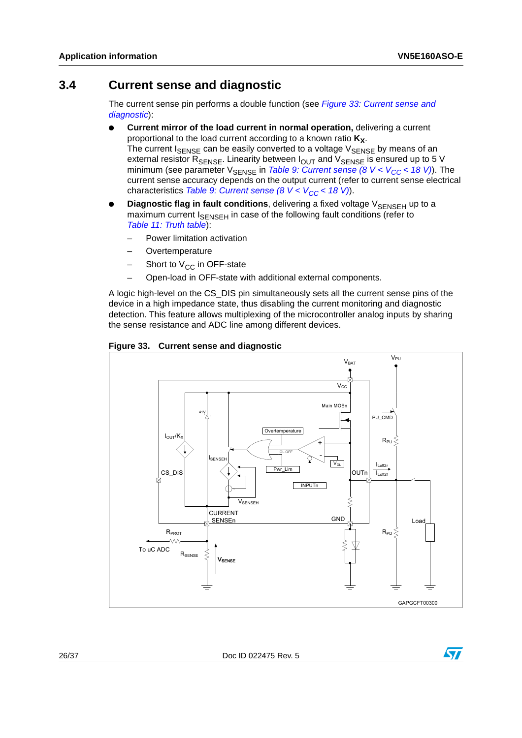### <span id="page-25-0"></span>**3.4 Current sense and diagnostic**

The current sense pin performs a double function (see *[Figure 33: Current sense and](#page-25-1)  [diagnostic](#page-25-1)*):

- **Current mirror of the load current in normal operation, delivering a current** proportional to the load current according to a known ratio  $K_X$ . The current  $I_{\text{SENSE}}$  can be easily converted to a voltage  $V_{\text{SENSE}}$  by means of an external resistor  $R_{\text{SENSE}}$ . Linearity between  $I_{\text{OUT}}$  and  $V_{\text{SENSE}}$  is ensured up to 5 V minimum (see parameter  $V_{\text{SENSE}}$  in *Table 9: Current sense (8 V < V<sub>CC</sub> < 18 V)*). The current sense accuracy depends on the output current (refer to current sense electrical characteristics *Table 9: Current sense (8 V < V<sub>CC</sub> < 18 V)*).
- **Diagnostic flag in fault conditions**, delivering a fixed voltage V<sub>SENSEH</sub> up to a maximum current I<sub>SENSEH</sub> in case of the following fault conditions (refer to *[Table 11: Truth table](#page-15-0)*):
	- Power limitation activation
	- **Overtemperature**
	- Short to  $V_{CC}$  in OFF-state
	- Open-load in OFF-state with additional external components.

A logic high-level on the CS\_DIS pin simultaneously sets all the current sense pins of the device in a high impedance state, thus disabling the current monitoring and diagnostic detection. This feature allows multiplexing of the microcontroller analog inputs by sharing the sense resistance and ADC line among different devices.



<span id="page-25-1"></span>**Figure 33. Current sense and diagnostic**

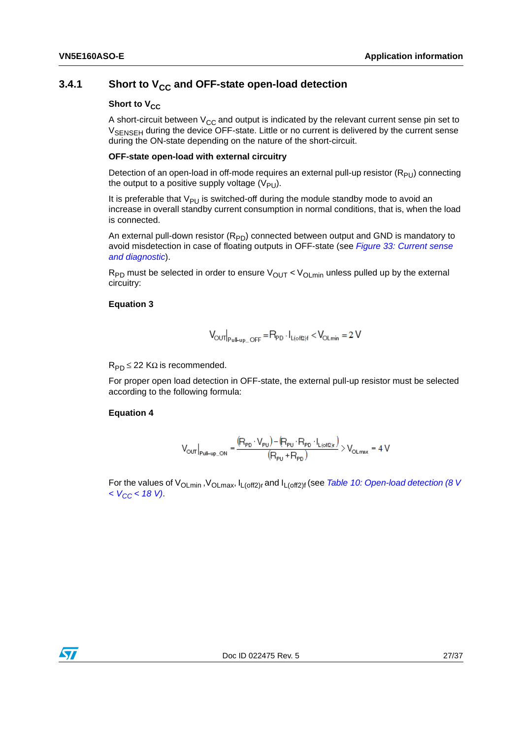#### <span id="page-26-0"></span>**3.4.1** Short to V<sub>CC</sub> and OFF-state open-load detection

#### **Short to V<sub>CC</sub>**

A short-circuit between  $V_{CC}$  and output is indicated by the relevant current sense pin set to V<sub>SENSEH</sub> during the device OFF-state. Little or no current is delivered by the current sense during the ON-state depending on the nature of the short-circuit.

#### **OFF-state open-load with external circuitry**

Detection of an open-load in off-mode requires an external pull-up resistor  $(R_{PU})$  connecting the output to a positive supply voltage  $(V_{PI})$ .

It is preferable that  $V_{PI}$  is switched-off during the module standby mode to avoid an increase in overall standby current consumption in normal conditions, that is, when the load is connected.

An external pull-down resistor  $(R_{PD})$  connected between output and GND is mandatory to avoid misdetection in case of floating outputs in OFF-state (see *[Figure 33: Current sense](#page-25-1)  [and diagnostic](#page-25-1)*).

 $R_{PD}$  must be selected in order to ensure  $V_{OUT} < V_{OID}$  min unless pulled up by the external circuitry:

#### **Equation 3**

$$
V_{\text{OUT}}|_{\text{Pul-UD-OFF}} = R_{\text{PD}} \cdot I_{L(\text{off2})f} < V_{\text{OLmin}} = 2 \text{ V}
$$

 $R_{\text{PD}} \leq 22$  KΩ is recommended.

For proper open load detection in OFF-state, the external pull-up resistor must be selected according to the following formula:

#### **Equation 4**

$$
V_{\text{OUT}}\big|_{\text{Full-up\_ON}} = \frac{\left(R_{\text{PD}} \cdot V_{\text{PU}}\right) - \left(R_{\text{PU}} \cdot R_{\text{PD}} \cdot I_{\text{L (off2)r}}\right)}{\left(R_{\text{PU}} + R_{\text{PD}}\right)} > V_{\text{OLmax}} = 4 \text{ V}
$$

For the values of V<sub>OLmin</sub>, V<sub>OLmax</sub>, I<sub>L(off2)r</sub> and I<sub>L(off2)f</sub> (see *Table 10: Open-load detection (8 V [< VCC < 18 V\)](#page-11-0)*.

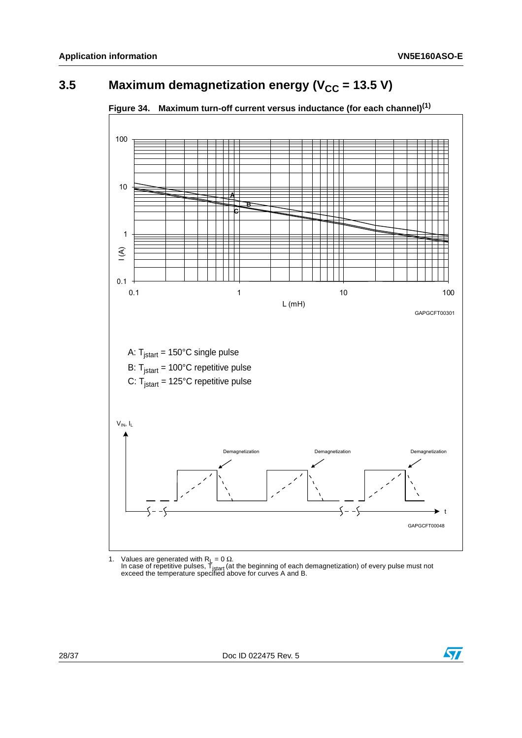# <span id="page-27-0"></span>**3.5** Maximum demagnetization energy (V<sub>CC</sub> = 13.5 V)



<span id="page-27-1"></span>**Figure 34. Maximum turn-off current versus inductance (for each channel)(1)**

1. Values are generated with R<sub>L</sub> = 0 Ω.<br>In case of repetitive pulses, T<sub>istart</sub> (at the beginning of each demagnetization) of every pulse must not exceed the temperature specified above for curves A and B.

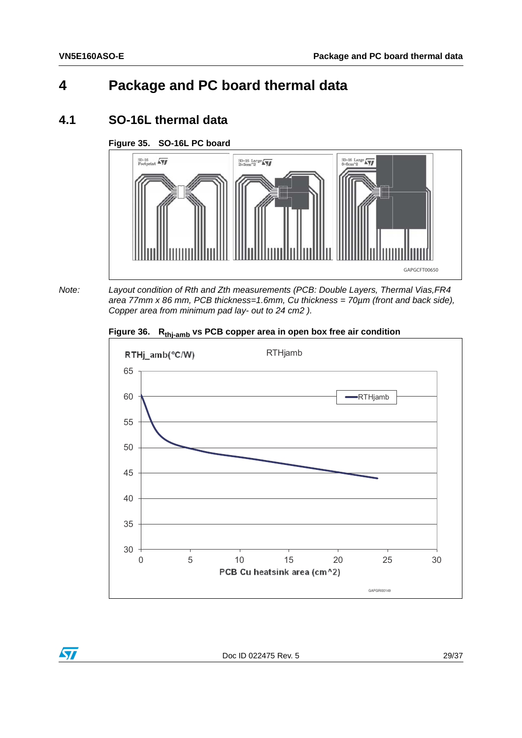# <span id="page-28-0"></span>**4 Package and PC board thermal data**

### <span id="page-28-1"></span>**4.1 SO-16L thermal data**

#### <span id="page-28-2"></span>**Figure 35. SO-16L PC board**



 $\bm{\varPi}$ 

*Note: Layout condition of Rth and Zth measurements (PCB: Double Layers, Thermal Vias,FR4 area 77mm x 86 mm, PCB thickness=1.6mm, Cu thickness = 70µm (front and back side), Copper area from minimum pad lay- out to 24 cm2 ).*

<span id="page-28-3"></span>



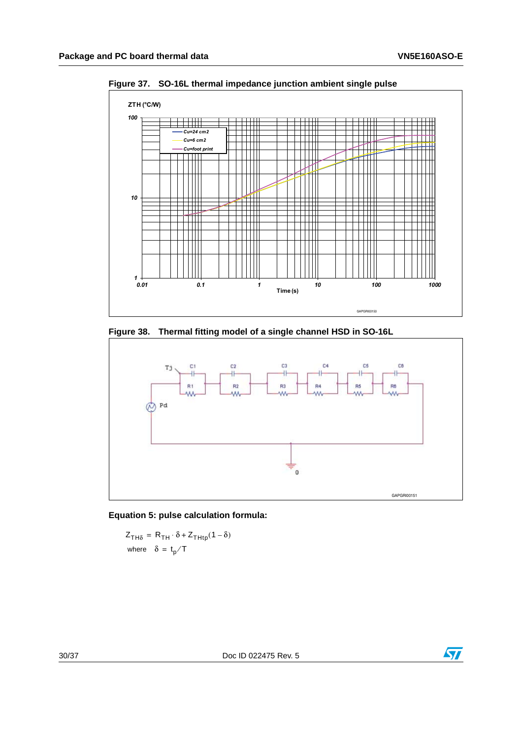

<span id="page-29-0"></span>**Figure 37. SO-16L thermal impedance junction ambient single pulse** 

<span id="page-29-1"></span>**Figure 38. Thermal fitting model of a single channel HSD in SO-16L**





 $Z_{TH\delta} = R_{TH} \cdot \delta + Z_{THtp} (1 - \delta)$ where  $\delta = \mathrm{t_{p}}/\mathrm{T}$ 

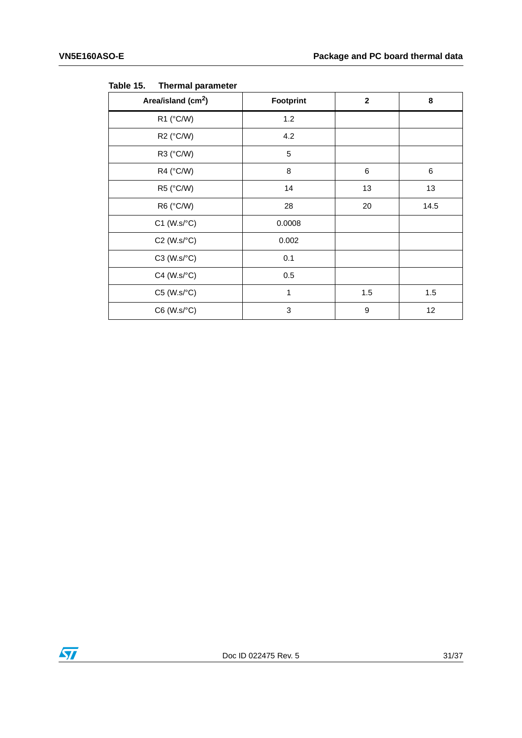| Area/island (cm <sup>2</sup> ) | Footprint    | $\mathbf{2}$ | 8    |
|--------------------------------|--------------|--------------|------|
| R1 (°C/W)                      | 1.2          |              |      |
| R2 (°C/W)                      | 4.2          |              |      |
| R3 (°C/W)                      | 5            |              |      |
| R4 (°C/W)                      | 8            | $\,6$        | 6    |
| R5 (°C/W)                      | 14           | 13           | 13   |
| R6 (°C/W)                      | 28           | 20           | 14.5 |
| $C1$ (W.s/ $°C$ )              | 0.0008       |              |      |
| $C2$ (W.s/ $°C$ )              | 0.002        |              |      |
| $C3$ (W.s/ $°C$ )              | 0.1          |              |      |
| $C4$ (W.s/ $\textdegree C$ )   | 0.5          |              |      |
| $C5$ (W.s/ $\textdegree C$ )   | $\mathbf{1}$ | 1.5          | 1.5  |
| $C6$ (W.s/ $°C$ )              | 3            | 9            | 12   |

<span id="page-30-0"></span>Table 15. **Thermal parameter** 

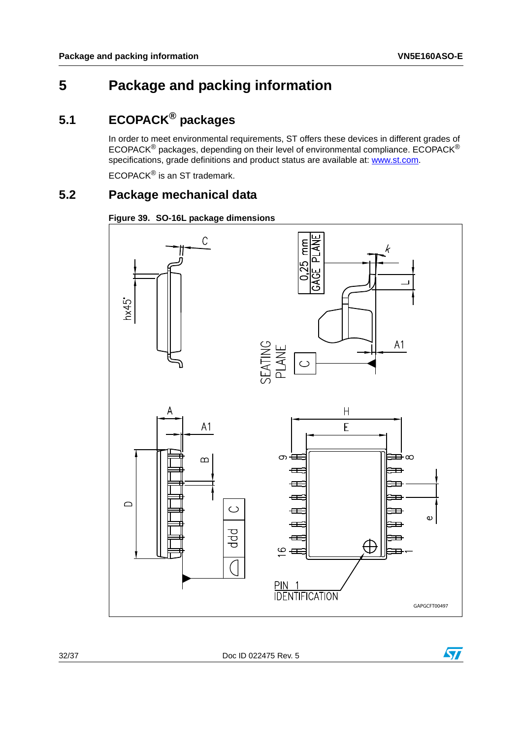# <span id="page-31-0"></span>**5 Package and packing information**

# <span id="page-31-1"></span>**5.1 ECOPACK® packages**

In order to meet environmental requirements, ST offers these devices in different grades of ECOPACK® packages, depending on their level of environmental compliance. ECOPACK® specifications, grade definitions and product status are available at: www.st.com.

ECOPACK® is an ST trademark.

## <span id="page-31-2"></span>**5.2 Package mechanical data**

<span id="page-31-3"></span>



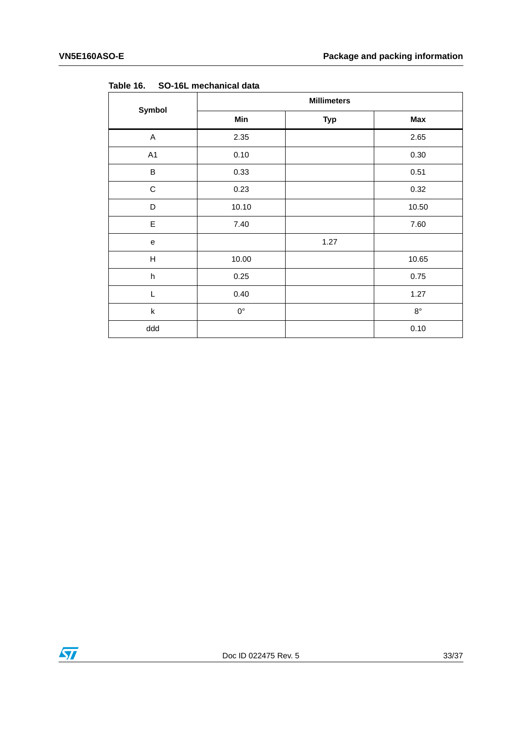| Symbol                    | <b>Millimeters</b> |            |             |  |
|---------------------------|--------------------|------------|-------------|--|
|                           | Min                | <b>Typ</b> | Max         |  |
| A                         | 2.35               |            | 2.65        |  |
| A1                        | 0.10               |            | 0.30        |  |
| $\sf B$                   | 0.33               |            | 0.51        |  |
| $\mathsf C$               | 0.23               |            | 0.32        |  |
| D                         | 10.10              |            | 10.50       |  |
| $\mathsf E$               | 7.40               |            | 7.60        |  |
| ${\bf e}$                 |                    | 1.27       |             |  |
| $\sf H$                   | 10.00              |            | 10.65       |  |
| $\boldsymbol{\mathsf{h}}$ | 0.25               |            | 0.75        |  |
| L                         | 0.40               |            | 1.27        |  |
| $\sf k$                   | $0^{\circ}$        |            | $8^{\circ}$ |  |
| ddd                       |                    |            | 0.10        |  |

<span id="page-32-0"></span>Table 16. **Table 16. SO-16L mechanical data**

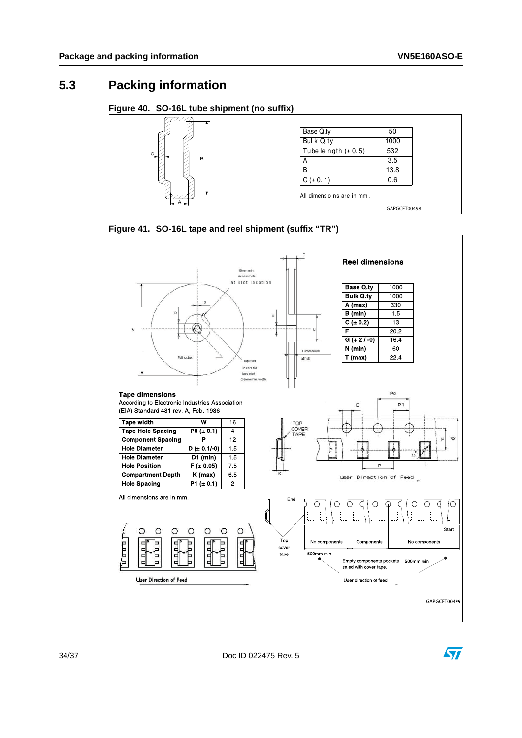## <span id="page-33-0"></span>**5.3 Packing information**

#### <span id="page-33-1"></span>**Figure 40. SO-16L tube shipment (no suffix)**





<span id="page-33-2"></span>**Figure 41. SO-16L tape and reel shipment (suffix "TR")**

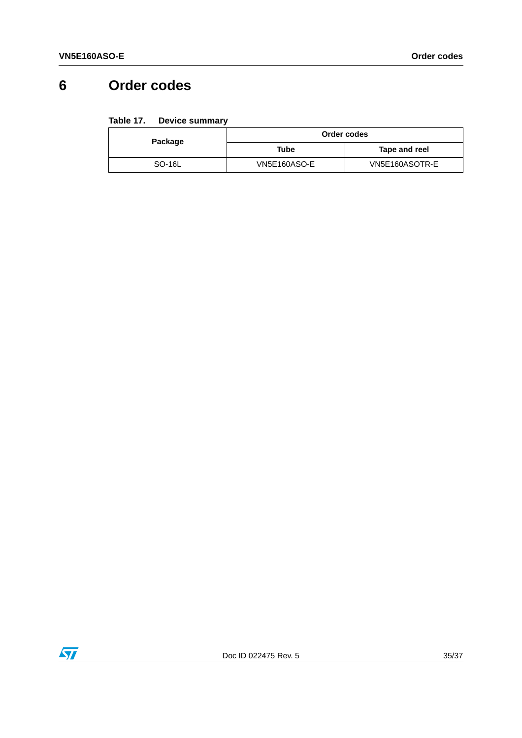# <span id="page-34-0"></span>**6 Order codes**

#### <span id="page-34-1"></span>Table 17. **Device summary**

| Package | Order codes         |                |
|---------|---------------------|----------------|
|         | Tube                | Tape and reel  |
| SO-16L  | <b>VN5E160ASO-E</b> | VN5E160ASOTR-E |

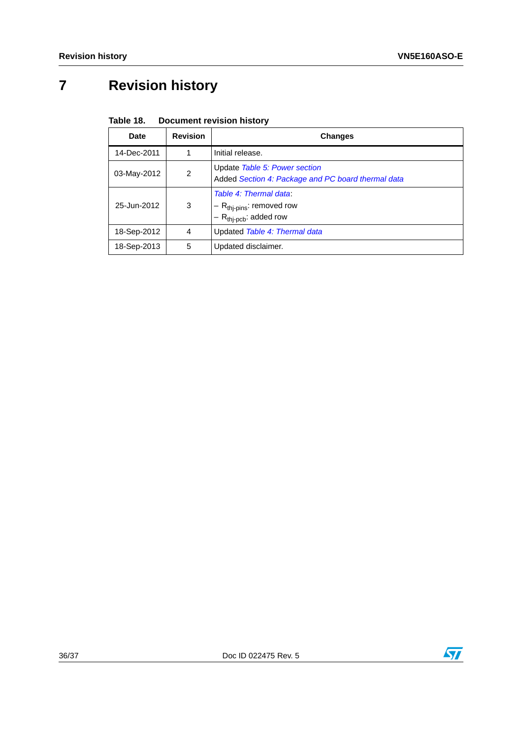# <span id="page-35-0"></span>**7 Revision history**

<span id="page-35-1"></span>

| Table 18. | <b>Document revision history</b> |  |
|-----------|----------------------------------|--|
|-----------|----------------------------------|--|

| Date        | <b>Revision</b> | <b>Changes</b>                                                                                 |
|-------------|-----------------|------------------------------------------------------------------------------------------------|
| 14-Dec-2011 |                 | Initial release.                                                                               |
| 03-May-2012 | 2               | Update Table 5: Power section<br>Added Section 4: Package and PC board thermal data            |
| 25-Jun-2012 | 3               | Table 4: Thermal data:<br>$-R_{\text{th}$ -pins: removed row<br>$-R_{\text{thip}}$ : added row |
| 18-Sep-2012 | 4               | Updated Table 4: Thermal data                                                                  |
| 18-Sep-2013 | 5               | Updated disclaimer.                                                                            |